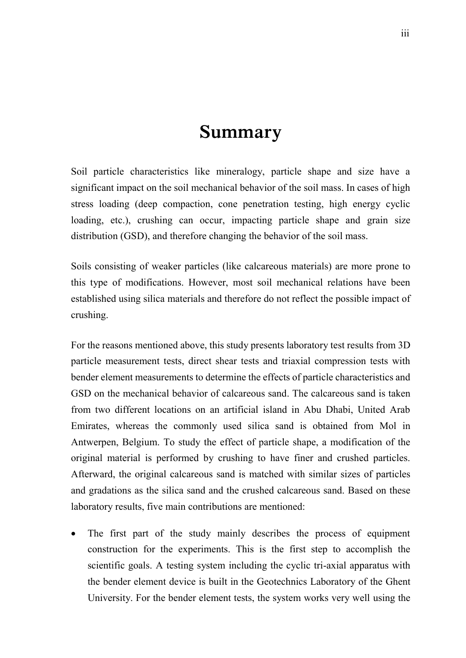## **Summary**

Soil particle characteristics like mineralogy, particle shape and size have a significant impact on the soil mechanical behavior of the soil mass. In cases of high stress loading (deep compaction, cone penetration testing, high energy cyclic loading, etc.), crushing can occur, impacting particle shape and grain size distribution (GSD), and therefore changing the behavior of the soil mass.

Soils consisting of weaker particles (like calcareous materials) are more prone to this type of modifications. However, most soil mechanical relations have been established using silica materials and therefore do not reflect the possible impact of crushing.

For the reasons mentioned above, this study presents laboratory test results from 3D particle measurement tests, direct shear tests and triaxial compression tests with bender element measurements to determine the effects of particle characteristics and GSD on the mechanical behavior of calcareous sand. The calcareous sand is taken from two different locations on an artificial island in Abu Dhabi, United Arab Emirates, whereas the commonly used silica sand is obtained from Mol in Antwerpen, Belgium. To study the effect of particle shape, a modification of the original material is performed by crushing to have finer and crushed particles. Afterward, the original calcareous sand is matched with similar sizes of particles and gradations as the silica sand and the crushed calcareous sand. Based on these laboratory results, five main contributions are mentioned:

 The first part of the study mainly describes the process of equipment construction for the experiments. This is the first step to accomplish the scientific goals. A testing system including the cyclic tri-axial apparatus with the bender element device is built in the Geotechnics Laboratory of the Ghent University. For the bender element tests, the system works very well using the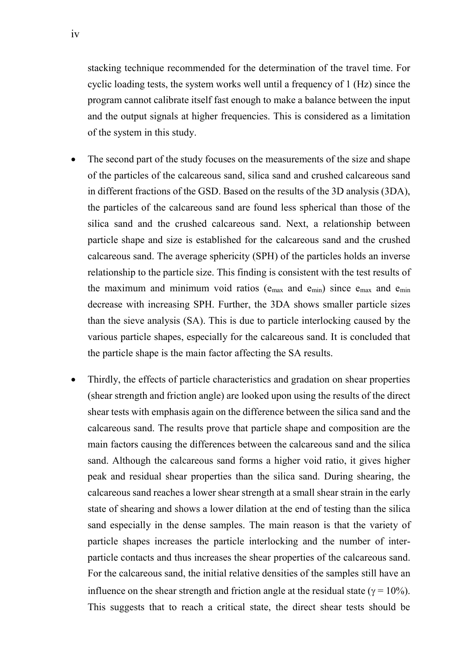stacking technique recommended for the determination of the travel time. For cyclic loading tests, the system works well until a frequency of 1 (Hz) since the program cannot calibrate itself fast enough to make a balance between the input and the output signals at higher frequencies. This is considered as a limitation of the system in this study.

- The second part of the study focuses on the measurements of the size and shape of the particles of the calcareous sand, silica sand and crushed calcareous sand in different fractions of the GSD. Based on the results of the 3D analysis (3DA), the particles of the calcareous sand are found less spherical than those of the silica sand and the crushed calcareous sand. Next, a relationship between particle shape and size is established for the calcareous sand and the crushed calcareous sand. The average sphericity (SPH) of the particles holds an inverse relationship to the particle size. This finding is consistent with the test results of the maximum and minimum void ratios ( $e_{max}$  and  $e_{min}$ ) since  $e_{max}$  and  $e_{min}$ decrease with increasing SPH. Further, the 3DA shows smaller particle sizes than the sieve analysis (SA). This is due to particle interlocking caused by the various particle shapes, especially for the calcareous sand. It is concluded that the particle shape is the main factor affecting the SA results.
- Thirdly, the effects of particle characteristics and gradation on shear properties (shear strength and friction angle) are looked upon using the results of the direct shear tests with emphasis again on the difference between the silica sand and the calcareous sand. The results prove that particle shape and composition are the main factors causing the differences between the calcareous sand and the silica sand. Although the calcareous sand forms a higher void ratio, it gives higher peak and residual shear properties than the silica sand. During shearing, the calcareous sand reaches a lower shear strength at a small shear strain in the early state of shearing and shows a lower dilation at the end of testing than the silica sand especially in the dense samples. The main reason is that the variety of particle shapes increases the particle interlocking and the number of interparticle contacts and thus increases the shear properties of the calcareous sand. For the calcareous sand, the initial relative densities of the samples still have an influence on the shear strength and friction angle at the residual state ( $\gamma = 10\%$ ). This suggests that to reach a critical state, the direct shear tests should be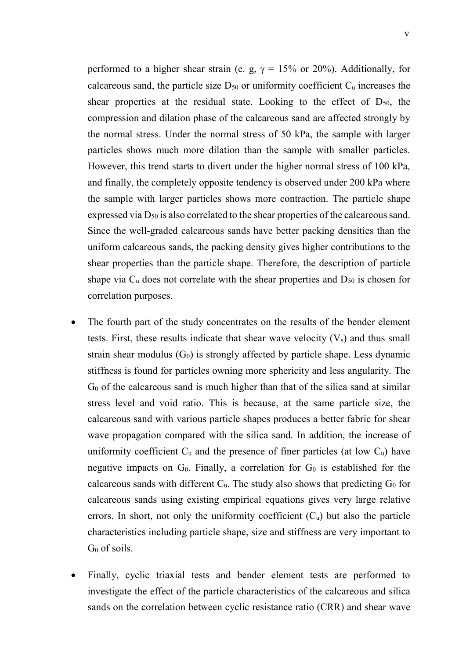performed to a higher shear strain (e. g,  $\gamma = 15\%$  or 20%). Additionally, for calcareous sand, the particle size  $D_{50}$  or uniformity coefficient  $C_u$  increases the shear properties at the residual state. Looking to the effect of  $D_{50}$ , the compression and dilation phase of the calcareous sand are affected strongly by the normal stress. Under the normal stress of 50 kPa, the sample with larger particles shows much more dilation than the sample with smaller particles. However, this trend starts to divert under the higher normal stress of 100 kPa, and finally, the completely opposite tendency is observed under 200 kPa where the sample with larger particles shows more contraction. The particle shape expressed via  $D_{50}$  is also correlated to the shear properties of the calcareous sand. Since the well-graded calcareous sands have better packing densities than the uniform calcareous sands, the packing density gives higher contributions to the shear properties than the particle shape. Therefore, the description of particle shape via  $C_u$  does not correlate with the shear properties and  $D_{50}$  is chosen for correlation purposes.

- The fourth part of the study concentrates on the results of the bender element tests. First, these results indicate that shear wave velocity  $(V_s)$  and thus small strain shear modulus  $(G_0)$  is strongly affected by particle shape. Less dynamic stiffness is found for particles owning more sphericity and less angularity. The G<sup>0</sup> of the calcareous sand is much higher than that of the silica sand at similar stress level and void ratio. This is because, at the same particle size, the calcareous sand with various particle shapes produces a better fabric for shear wave propagation compared with the silica sand. In addition, the increase of uniformity coefficient  $C_u$  and the presence of finer particles (at low  $C_u$ ) have negative impacts on  $G_0$ . Finally, a correlation for  $G_0$  is established for the calcareous sands with different  $C_u$ . The study also shows that predicting  $G_0$  for calcareous sands using existing empirical equations gives very large relative errors. In short, not only the uniformity coefficient  $(C_u)$  but also the particle characteristics including particle shape, size and stiffness are very important to G<sup>0</sup> of soils.
- Finally, cyclic triaxial tests and bender element tests are performed to investigate the effect of the particle characteristics of the calcareous and silica sands on the correlation between cyclic resistance ratio (CRR) and shear wave